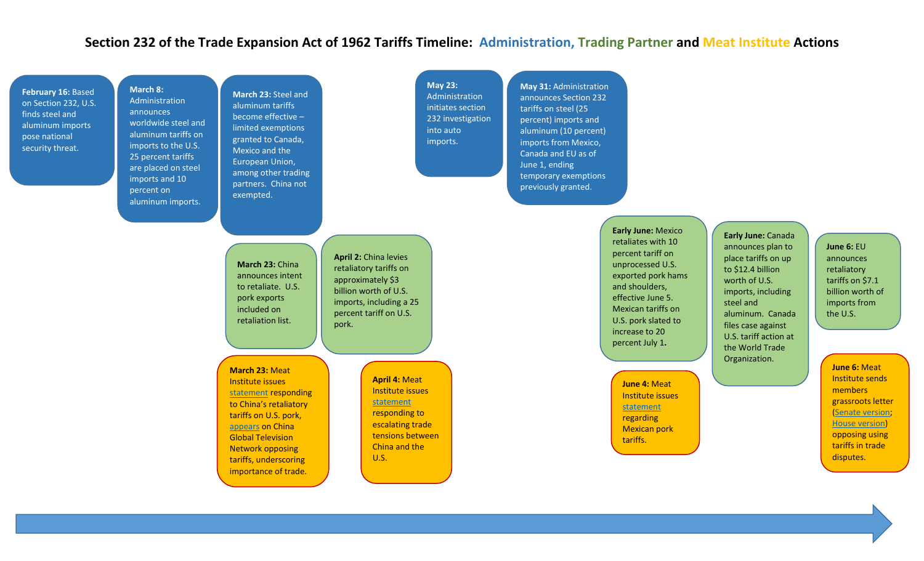## **Section 232 of the Trade Expansion Act of 1962 Tariffs Timeline: Administration, Trading Partner and Meat Institute Actions**

**May 23:** Administration initiates section 232 investigation

into auto imports.

**February 16:** Based on Section 232, U.S. finds steel and aluminum imports pose national security threat.

**March 8:** Administration announces worldwide steel and aluminum tariffs on imports to the U.S. 25 percent tariffs are placed on steel imports and 10 percent on aluminum imports.

**March 23:** Steel and aluminum tariffs become effective – limited exemptions granted to Canada, Mexico and the European Union, among other trading partners. China not exempted.

**March 23:** China announces intent to retaliate. U.S. pork exports included on retaliation list.

**April 2:** China levies retaliatory tariffs on approximately \$3 billion worth of U.S. imports, including a 25 percent tariff on U.S. pork.

**March 23:** Meat Institute issues statement responding to China's retaliatory tariffs on U.S. pork, appears on China Global Television Network opposing tariffs, underscoring importance of trade.

**April 4:** Meat Institute issues statement responding to escalating trade tensions between China and the U.S.

**May 31:** Administration announces Section 232 tariffs on steel (25 percent) imports and aluminum (10 percent) imports from Mexico, Canada and EU as of June 1, ending temporary exemptions previously granted.

> **Early June:** Mexico retaliates with 10 percent tariff on unprocessed U.S. exported pork hams and shoulders, effective June 5. Mexican tariffs on U.S. pork slated to increase to 20 percent July 1**.**

> > **June 4:** Meat Institute issues statement regarding Mexican pork tariffs.

**Early June:** Canada announces plan to place tariffs on up to \$12.4 billion worth of U.S. imports, including steel and aluminum. Canada files case against U.S. tariff action at the World Trade Organization.

**June 6:** EU announces retaliatory tariffs on \$7.1 billion worth of imports from the U.S.

**June 6:** Meat Institute sends members grassroots letter (Senate version; House version) opposing using tariffs in trade disputes.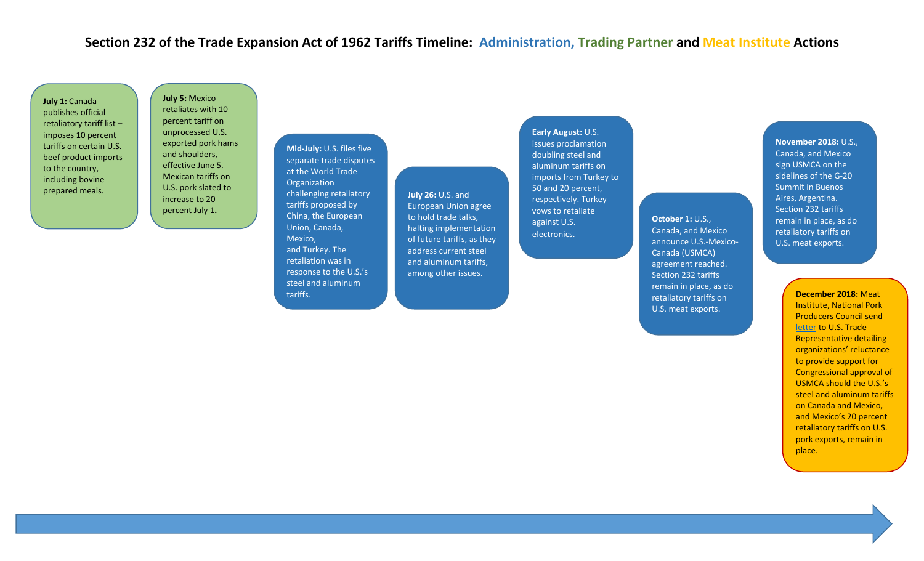## **Section 232 of the Trade Expansion Act of 1962 Tariffs Timeline: Administration, Trading Partner and Meat Institute Actions**

**July 1:** Canada publishes official retaliatory tariff list – imposes 10 percent tariffs on certain U.S. beef product imports to the country, including bovine prepared meals.

**July 5:** Mexico retaliates with 10 percent tariff on unprocessed U.S. exported pork hams and shoulders, effective June 5. Mexican tariffs on U.S. pork slated to increase to 20 percent July 1**.**

**Mid-July:** U.S. files five separate trade disputes at the World Trade **Organization** challenging retaliatory tariffs proposed by China, the European Union, Canada, Mexico, and Turkey. The retaliation was in response to the U.S.'s steel and aluminum tariffs.

**July 26:** U.S. and European Union agree to hold trade talks, halting implementation of future tariffs, as they address current steel and aluminum tariffs, among other issues.

**Early August:** U.S. issues proclamation doubling steel and aluminum tariffs on imports from Turkey to 50 and 20 percent, respectively. Turkey vows to retaliate against U.S. electronics.

**October 1: U.S.,** Canada, and Mexico announce U.S.-Mexico-Canada (USMCA) agreement reached. Section 232 tariffs remain in place, as do retaliatory tariffs on U.S. meat exports.

## **November 2018:** U.S., Canada, and Mexico sign USMCA on the sidelines of the G-20 Summit in Buenos Aires, Argentina. Section 232 tariffs remain in place, as do retaliatory tariffs on U.S. meat exports.

**December 2018:** Meat Institute, National Pork Producers Council send letter to U.S. Trade Representative detailing organizations' reluctance to provide support for Congressional approval of USMCA should the U.S.'s steel and aluminum tariffs on Canada and Mexico, and Mexico's 20 percent retaliatory tariffs on U.S. pork exports, remain in place.